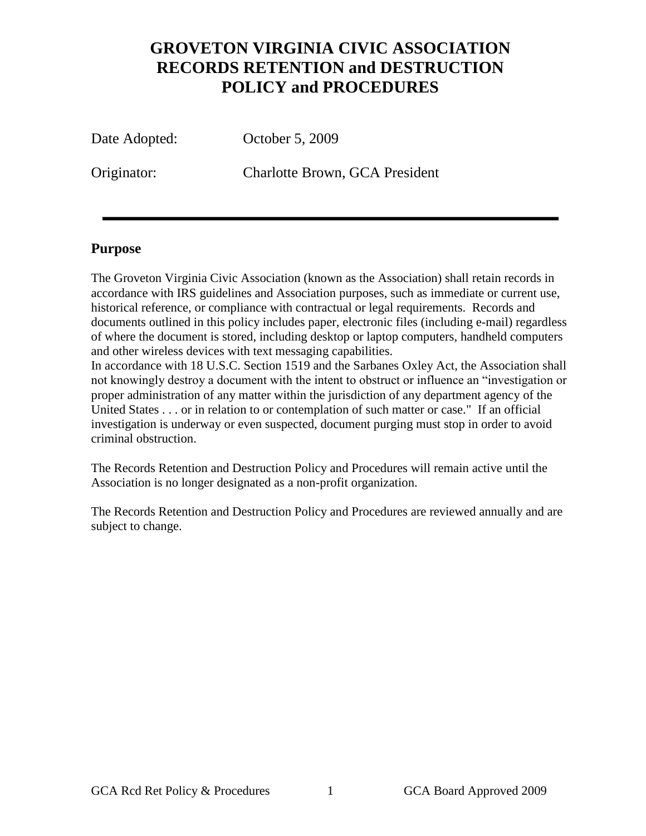## **GROVETON VIRGINIA CIVIC ASSOCIATION RECORDS RETENTION and DESTRUCTION POLICY and PROCEDURES**

Date Adopted: October 5, 2009

Originator: Charlotte Brown, GCA President

## **Purpose**

The Groveton Virginia Civic Association (known as the Association) shall retain records in accordance with IRS guidelines and Association purposes, such as immediate or current use, historical reference, or compliance with contractual or legal requirements. Records and documents outlined in this policy includes paper, electronic files (including e-mail) regardless of where the document is stored, including desktop or laptop computers, handheld computers and other wireless devices with text messaging capabilities.

In accordance with 18 U.S.C. Section 1519 and the Sarbanes Oxley Act, the Association shall not knowingly destroy a document with the intent to obstruct or influence an "investigation or proper administration of any matter within the jurisdiction of any department agency of the United States . . . or in relation to or contemplation of such matter or case." If an official investigation is underway or even suspected, document purging must stop in order to avoid criminal obstruction.

The Records Retention and Destruction Policy and Procedures will remain active until the Association is no longer designated as a non-profit organization.

The Records Retention and Destruction Policy and Procedures are reviewed annually and are subject to change.